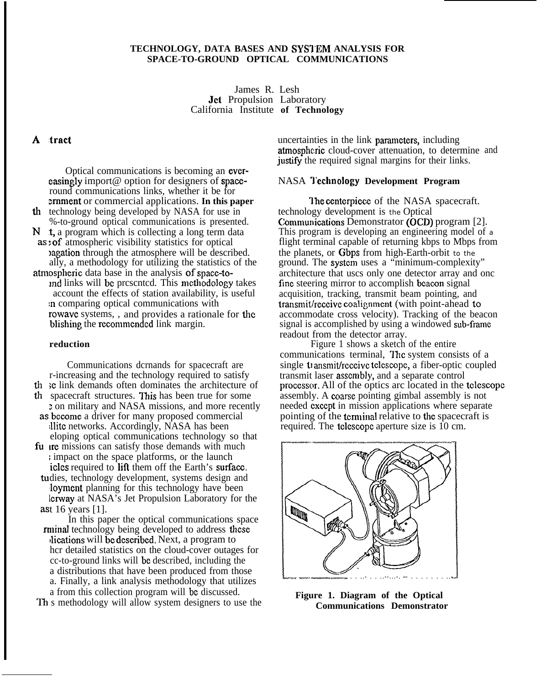## **TECHNOLOGY, DATA BASES AND SYS'J'EM ANALYSIS FOR SPACE-TO-GROUND OPTICAL COMMUNICATIONS**

James R. Lesh Jet Propulsion Laboratory California Institute **of Technology**

## A tract

Optical communications is becoming an evereasingly import@ option for designers of spaceround communications links, whether it be for **ernment** or commercial applications. In this paper th technology being developed by NASA for use in %-to-ground optical communications is presented.  $N$  t, a program which is collecting a long term data : of atmospheric visibility statistics for optical )agation through the atmosphere will be described. ally, a methodology for utilizing the statistics of the atmospheric data base in the analysis of space-to-

md links will bc prcscntcd. This mcthodo]ogy takes account the effects of station availability, is useful m comparing optical communications with rowave systems,, and provides a rationale for the blishing the recommended link margin.

### **reduction**

Communications dcrnands for spacecraft are r-increasing and the technology required to satisfy

- th se link demands often dominates the architecture of spacecraft structures. This has been true for some
- ? on military and NASA missions, and more recently as become a driver for many proposed commercial
- :llitc networks. Accordingly, NASA has been eloping optical communications technology so that fu ire missions can satisfy those demands with much
- impact on the space platforms, or the launch icles required to lift them off the Earth's surface.
- tudies, technology development, systems design and Ioyment planning for this technology have been Ierway at NASA's Jet Propulsion Laboratory for the ast 16 years  $[1]$ .
- In this paper the optical communications space ninal technology being developed to address these Jieations will bc dcscribcd. Next, a program to hcr detailed statistics on the cloud-cover outages for cc-to-ground links will bc described, including the a distributions that have been produced from those a. Finally, a link analysis methodology that utilizes a from this collection program will bc discussed.

Th s methodology will allow system designers to use the

uncertainties in the link pararncters, including atmospheric cloud-cover attenuation, to determine and justify the required signal margins for their links.

#### NASA **I"echnology Development Program**

The centerpiece of the NASA spacecraft. technology development is the Optical Communications Demonstrator (OCD) program [2]. This program is developing an engineering model of a flight terminal capable of returning kbps to Mbps from the planets, or Gbps from high-Earth-orbit to the ground. The systcm uses a "minimum-complexity" architecture that uscs only one detector array and onc fine steering mirror to accomplish beacon signal acquisition, tracking, transmit beam pointing, and transmit/rcccivc coalignmcnt (with point-ahead to accommodate cross velocity). Tracking of the beacon signal is accomplished by using a windowed sub-frarnc readout from the detector array.

Figure 1 shows a sketch of the entire communications terminal, Ific system consists of a single to ansmit/receive telescope, a fiber-optic coupled transmit laser asscrnbly, and a separate control processcm. All of the optics arc located in the tclescopc assembly. A coarse pointing gimbal assembly is not needed cxccpt in mission applications where separate pointing of the terminal relative to the spacecraft is required. The tclcscopc aperture size is 10 cm.



**Figure 1. Diagram of the Optical Communications Demonstrator**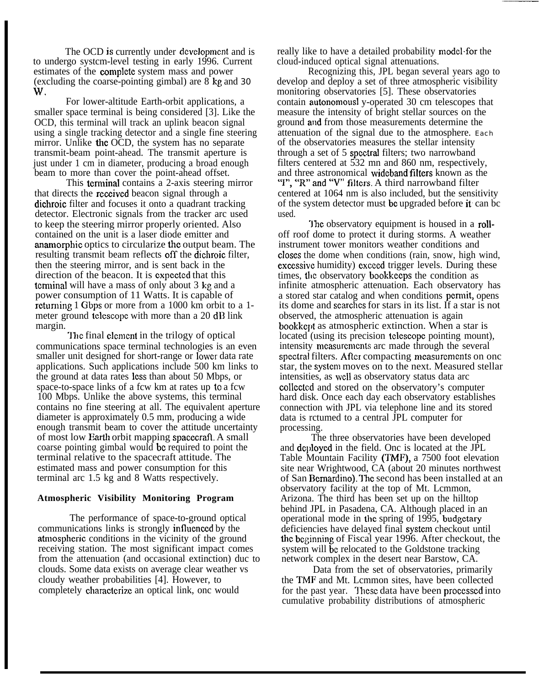The OCD is currently under dcvclopmcnt and is to undergo systcm-level testing in early 1996. Current estimates of the complctc system mass and power (excluding the coarse-pointing gimbal) are  $8 \text{ kg}$  and 30 w,

For lower-altitude Earth-orbit applications, a smaller space terminal is being considered [3]. Like the OCD, this terminal will track an uplink beacon signal using a single tracking detector and a single fine steering mirror. Unlike the OCD, the system has no separate transmit-beam point-ahead. The transmit aperture is just under 1 cm in diameter, producing a broad enough beam to more than cover the point-ahead offset.

This terminal contains a 2-axis steering mirror that directs the rcceivcd beacon signal through a dichroic filter and focuses it onto a quadrant tracking detector. Electronic signals from the tracker arc used to keep the steering mirror properly oriented. Also contained on the unit is a laser diode emitter and anamorphic optics to circularize the output beam. The resulting transmit beam reflects off the dichroic filter, then the steering mirror, and is sent back in the direction of the beacon. It is cxpcctcd that this terminal will have a mass of only about 3 kg and a power consumption of 11 Watts. It is capable of rctuming 1 Gbps or more from a 1000 km orbit to a 1 meter ground telescope with more than a 20 dB link margin.

The final element in the trilogy of optical communications space terminal technologies is an even smaller unit designed for short-range or Iowcr data rate applications. Such applications include 500 km links to the ground at data rates less than about 50 Mbps, or space-to-space links of a fcw km at rates up to a fcw 100 Mbps. Unlike the above systems, this terminal contains no fine steering at all. The equivalent aperture diameter is approximately 0.5 mm, producing a wide enough transmit beam to cover the attitude uncertainty of most low Earth orbit mapping spacecraft. A small coarse pointing gimbal would bc required to point the terminal relative to the spacecraft attitude. The estimated mass and power consumption for this terminal arc 1.5 kg and 8 Watts respectively.

#### **Atmospheric Visibility Monitoring Program**

The performance of space-to-ground optical communications links is strongly influenced by the atmospheric conditions in the vicinity of the ground receiving station. The most significant impact comes from the attenuation (and occasional extinction) duc to clouds. Some data exists on average clear weather vs cloudy weather probabilities [4]. However, to completely characterize an optical link, one would

really like to have a detailed probability model'for the cloud-induced optical signal attenuations.

Recognizing this, JPL began several years ago to develop and deploy a set of three atmospheric visibility monitoring observatories [5]. These observatories contain autonornousl y-operated 30 cm telescopes that measure the intensity of bright stellar sources on the ground and from those measurements determine the attenuation of the signal due to the atmosphere. Each of the observatories measures the stellar intensity through a set of 5 spectral filters; two narrowband filters centered at 532 mn and 860 nm, respectively, and three astronomical wideband filters known as the "I", "R" and "V" filters. A third narrowband filter centered at 1064 nm is also included, but the sensitivity of the system detector must bc upgraded before it can bc used.

The observatory equipment is housed in a rolloff roof dome to protect it during storms. A weather instrument tower monitors weather conditions and closes the dome when conditions (rain, snow, high wind, exccssivc humidity) cxcced trigger levels. During these times, the observatory bookkeeps the condition as infinite atmospheric attenuation. Each observatory has a stored star catalog and when conditions permit, opens its dome and scarchcs for stars in its list. If a star is not observed, the atmospheric attenuation is again bookkc]}t as atmospheric extinction. When a star is located (using its precision telescope pointing mount), intensity mcasurcmcnts arc made through the several spectral filters. After compacting measurements on onc star, the system moves on to the next. Measured stellar intensities, as well as observatory status data arc collcctcd and stored on the observatory's computer hard disk. Once each day each observatory establishes connection with JPL via telephone line and its stored data is rctumed to a central JPL computer for processing.

The three observatories have been developed and deployed in the field. Onc is located at the JPL Table Mountain Facility (TMF), a 7500 foot elevation site near Wrightwood, CA (about 20 minutes northwest of San Bernardino). The second has been installed at an observatory facility at the top of Mt. Lcmmon, Arizona. The third has been set up on the hilltop behind JPL in Pasadena, CA. Although placed in an operational mode in the spring of  $19\overline{9}5$ , budgetary deficiencies have delayed final system checkout until the beginning of Fiscal year 1996. After checkout, the system will bc relocated to the Goldstone tracking network complex in the desert near Barstow, CA.

Data from the set of observatories, primarily the TMF and Mt. Lcmmon sites, have been collected for the past year. These data have been processed into cumulative probability distributions of atmospheric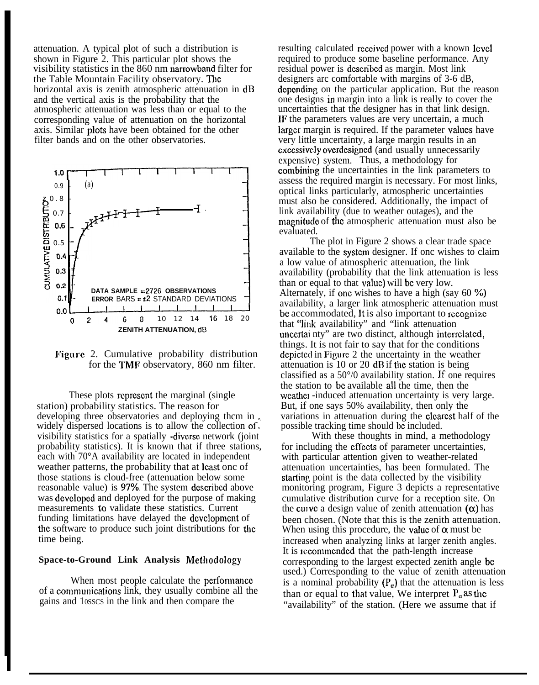attenuation. A typical plot of such a distribution is shown in Figure 2. This particular plot shows the visibility statistics in the 860 nm narrowband filter for the Table Mountain Facility observatory. The horizontal axis is zenith atmospheric attenuation in dB and the vertical axis is the probability that the atmospheric attenuation was less than or equal to the corresponding value of attenuation on the horizontal axis. Similar plots have been obtained for the other filter bands and on the other observatories.



Figure 2. Cumulative probability distribution for the TMF observatory, 860 nm filter.

These plots represent the marginal (single) station) probability statistics. The reason for developing three observatories and deploying them in, widely dispersed locations is to allow the collection of. visibility statistics for a spatially -diverse network (joint probability statistics). It is known that if three stations, each with 70°A availability are located in independent weather patterns, the probability that at least onc of those stations is cloud-free (attenuation below some reasonable value) is 97%. The system described above was dcvclopcd and deployed for the purpose of making measurements to validate these statistics. Current funding limitations have delayed the dcvclopmcnt of the software to produce such joint distributions for the time being.

## **Space-to-Ground Link Analysis** Mcihodology

When most people calculate the performance of a communications link, they usually combine all the gains and 10SSCS in the link and then compare the

resulting calculated received power with a known level required to produce some baseline performance. Any residual power is dcscnbcd as margin. Most link designers arc comfortable with margins of 3-6 dB, depending on the particular application. But the reason one designs in margin into a link is really to cover the uncertainties that the designer has in that link design. IF the parameters values are very uncertain, a much larger margin is required. If the parameter values have very little uncertainty, a large margin results in an excessively overdesigned (and usually unnecessarily expensive) system. Thus, a methodology for combiniug the uncertainties in the link parameters to assess the required margin is necessary. For most links, optical links particularly, atmospheric uncertainties must also be considered. Additionally, the impact of link availability (due to weather outages), and the magnitude of the atmospheric attenuation must also be evaluated.

The plot in Figure 2 shows a clear trade space available to the systcm designer. If onc wishes to claim a low value of atmospheric attenuation, the link availability (probability that the link attenuation is less than or equal to that value) will be very low. Alternately, if cmc wishes to have a high (say 60 **9'o)** availability, a larger link atmospheric attenuation must be accommodated, It is also important to recognize that "link availability" and "link attenuation unccrtai nty" are two distinct, although intcrrclatcd, things. It is not fair to say that for the conditions dcpictcd in Figure 2 the uncertainty in the weather attenuation is  $10$  or  $20$  dB if the station is being classified as a 50°/0 availability station. If one requires the station to bc available all the time, then the weather -induced attenuation uncertainty is very large. But, if one says 50% availability, then only the variations in attenuation during the clcarcst half of the possible tracking time should bc included.

With these thoughts in mind, a methodology for including the eflccts of parameter uncertainties, with particular attention given to weather-related attenuation uncertainties, has been formulated. The starting point is the data collected by the visibility monitoring program, Figure 3 depicts a representative cumulative distribution curve for a reception site. On the curve a design value of zenith attenuation  $(\alpha)$  has been chosen. (Note that this is the zenith attenuation. When using this procedure, the value of  $\alpha$  must be increased when analyzing links at larger zenith angles. It is recommended that the path-length increase corresponding to the largest expected zenith angle bc used.) Corresponding to the value of zenith attenuation is a nominal probability  $(P_{\alpha})$  that the attenuation is less than or equal to that value, We interpret  $P_{\alpha}$  as the "availability" of the station. (Here we assume that if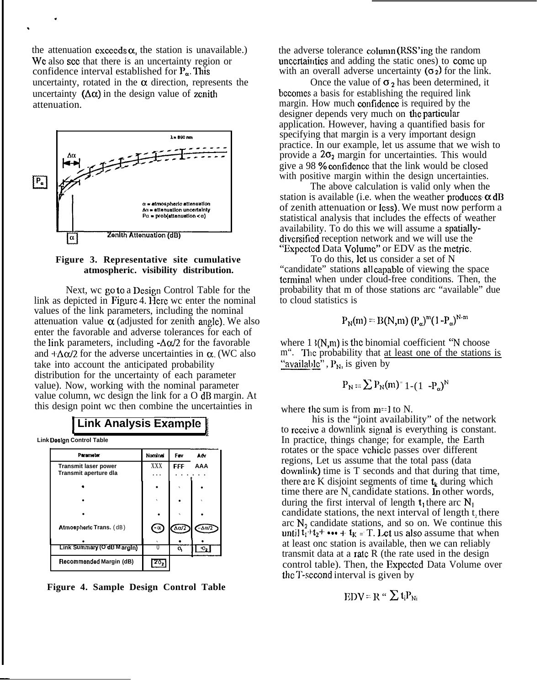the attenuation exceeds  $\alpha$ , the station is unavailable.) We also see that there is an uncertainty region or confidence interval established for  $P_{\alpha}$ . This uncertainty, rotated in the  $\alpha$  direction, represents the uncertainty  $(\Delta \alpha)$  in the design value of zenith attenuation.

.

.





Next, we go to a Design Control Table for the link as depicted in Figure 4. Here wc enter the nominal values of the link parameters, including the nominal attenuation value  $\alpha$  (adjusted for zenith angle). We also enter the favorable and adverse tolerances for each of the link parameters, including  $-\Delta\alpha/2$  for the favorable and  $+\Delta\alpha/2$  for the adverse uncertainties in  $\alpha$ . (WC also take into account the anticipated probability distribution for the uncertainty of each parameter value). Now, working with the nominal parameter value column, wc design the link for a O dB margin. At this design point wc then combine the uncertainties in

# **Link Analysis Example**

**<sup>1</sup>** <sup>Q</sup> **Link Doolgn Control Table**

—

| Parameter                                            | Nominal    | Fav | Adv   |
|------------------------------------------------------|------------|-----|-------|
| <b>Transmit laser power</b><br>Transmit aperture dla | <b>XXX</b> | FFF | AAA   |
|                                                      |            |     |       |
|                                                      |            |     |       |
|                                                      |            |     |       |
| Atmospheric Trans. (dB)                              | (-α)       | Δω2 | -Δα/2 |
|                                                      |            |     |       |
| Link Summary (O dB Margin)                           |            | O,  |       |

**Figure 4. Sample Design Control Table**

the adverse tolerance column (RSS'ing the random unccrtaintics and adding the static ones) to come up with an overall adverse uncertainty  $(\sigma_2)$  for the link.

Once the value of  $\sigma_2$  has been determined, it bccomcs a basis for establishing the required link margin. How much confidence is required by the designer depends very much on the particular application. However, having a quantified basis for specifying that margin is a very important design practice. In our example, let us assume that we wish to provide a  $2\sigma_2$  margin for uncertainties. This would give a 98 % confidence that the link would be closed with positive margin within the design uncertainties.

The above calculation is valid only when the station is available (i.e. when the weather produces  $\alpha$  dB of zenith attenuation or Icss). We must now perform a statistical analysis that includes the effects of weather availability. To do this we will assume a spatiallydivcrsificd reception network and we will use the "Expected Data Volume" or EDV as the metric.

To do this, let us consider a set of N "candidate" stations all eapablc of viewing the space terminal when under cloud-free conditions. Then, the probability that m of those stations arc "available" due to cloud statistics is

$$
P_N(m) = B(N,m) (P_{\alpha})^m (1-P_{\alpha})^{N-m}
$$

where  $1 \frac{3(N,m)}{N}$  is the binomial coefficient "N choose" m". The probability that at least one of the stations is "available",  $P_N$ , is given by

$$
P_N = \sum P_N(m)^= 1 - (1 - P_\alpha)^N
$$

where the sum is from  $m=1$  to N.

his is the "joint availability" of the network to rcceivc a downlink signal is everything is constant. In practice, things change; for example, the Earth rotates or the space vchiclc passes over different regions, Let us assume that the total pass (data downlink) time is T seconds and that during that time, there are K disjoint segments of time  $t_k$  during which time there are  $N_k$  candidate stations. In other words, during the first interval of length  $t_1$  there arc  $N_1$ candidate stations, the next interval of length t, there arc  $N<sub>2</sub>$  candidate stations, and so on. We continue this until  $t_1$ <sup>+</sup> $t_2$ <sup>+</sup> ••• +  $t_K$  = T. Let us also assume that when at least onc station is available, then we can reliably transmit data at a rate  $R$  (the rate used in the design control table). Then, the Expcctcd Data Volume over the T-second interval is given by

$$
EDV = R ``\sum t_i P_{Ni}
$$